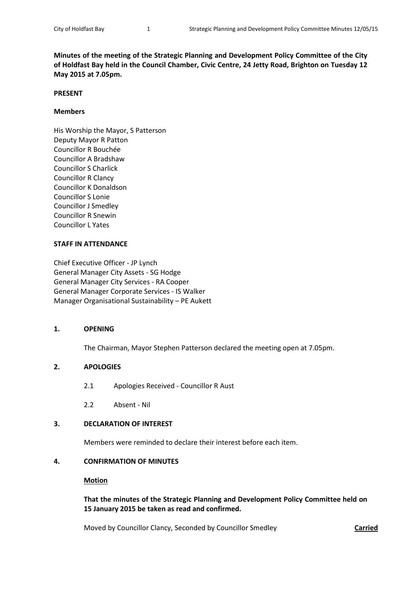**Minutes of the meeting of the Strategic Planning and Development Policy Committee of the City of Holdfast Bay held in the Council Chamber, Civic Centre, 24 Jetty Road, Brighton on Tuesday 12 May 2015 at 7.05pm.**

#### **PRESENT**

### **Members**

His Worship the Mayor, S Patterson Deputy Mayor R Patton Councillor R Bouchée Councillor A Bradshaw Councillor S Charlick Councillor R Clancy Councillor K Donaldson Councillor S Lonie Councillor J Smedley Councillor R Snewin Councillor L Yates

## **STAFF IN ATTENDANCE**

Chief Executive Officer - JP Lynch General Manager City Assets - SG Hodge General Manager City Services - RA Cooper General Manager Corporate Services - IS Walker Manager Organisational Sustainability – PE Aukett

## **1. OPENING**

The Chairman, Mayor Stephen Patterson declared the meeting open at 7.05pm.

## **2. APOLOGIES**

- 2.1 Apologies Received Councillor R Aust
- 2.2 Absent Nil

# **3. DECLARATION OF INTEREST**

Members were reminded to declare their interest before each item.

#### **4. CONFIRMATION OF MINUTES**

### **Motion**

**That the minutes of the Strategic Planning and Development Policy Committee held on 15 January 2015 be taken as read and confirmed.**

Moved by Councillor Clancy, Seconded by Councillor Smedley **Carried**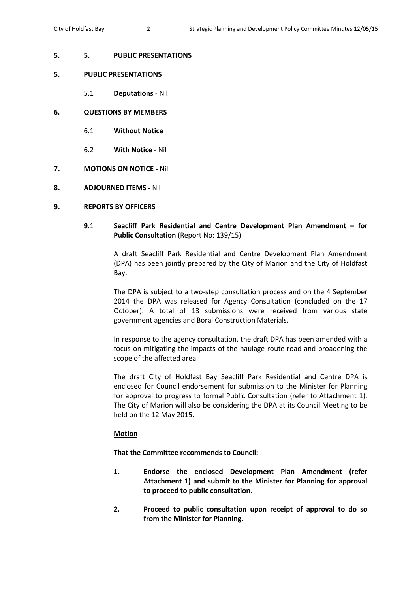# **5. 5. PUBLIC PRESENTATIONS**

# **5. PUBLIC PRESENTATIONS**

- 5.1 **Deputations** Nil
- **6. QUESTIONS BY MEMBERS**
	- 6.1 **Without Notice**
	- 6.2 **With Notice** Nil
- **7. MOTIONS ON NOTICE -** Nil
- **8. ADJOURNED ITEMS -** Nil

# **9. REPORTS BY OFFICERS**

# **9**.1 **Seacliff Park Residential and Centre Development Plan Amendment – for Public Consultation** (Report No: 139/15)

A draft Seacliff Park Residential and Centre Development Plan Amendment (DPA) has been jointly prepared by the City of Marion and the City of Holdfast Bay.

The DPA is subject to a two-step consultation process and on the 4 September 2014 the DPA was released for Agency Consultation (concluded on the 17 October). A total of 13 submissions were received from various state government agencies and Boral Construction Materials.

In response to the agency consultation, the draft DPA has been amended with a focus on mitigating the impacts of the haulage route road and broadening the scope of the affected area.

The draft City of Holdfast Bay Seacliff Park Residential and Centre DPA is enclosed for Council endorsement for submission to the Minister for Planning for approval to progress to formal Public Consultation (refer to Attachment 1). The City of Marion will also be considering the DPA at its Council Meeting to be held on the 12 May 2015.

# **Motion**

**That the Committee recommends to Council:**

- **1. Endorse the enclosed Development Plan Amendment (refer Attachment 1) and submit to the Minister for Planning for approval to proceed to public consultation.**
- **2. Proceed to public consultation upon receipt of approval to do so from the Minister for Planning.**